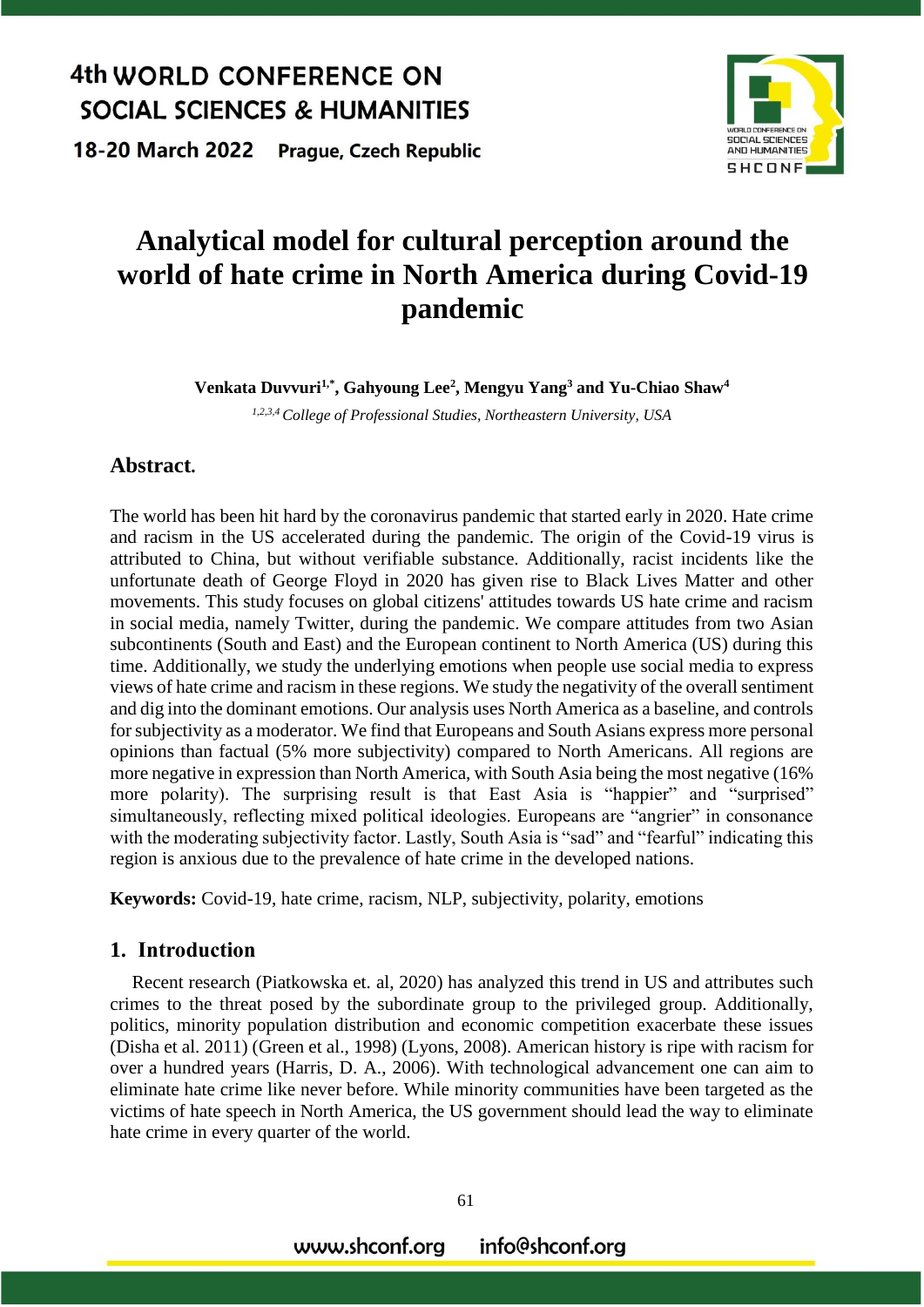18-20 March 2022 **Prague, Czech Republic** 



# **Analytical model for cultural perception around the world of hate crime in North America during Covid-19 pandemic**

**Venkata Duvvuri1,\* , Gahyoung Lee<sup>2</sup> , Mengyu Yang<sup>3</sup> and Yu-Chiao Shaw<sup>4</sup>**

*1,2,3,4 College of Professional Studies, Northeastern University, USA*

#### **Abstract.**

The world has been hit hard by the coronavirus pandemic that started early in 2020. Hate crime and racism in the US accelerated during the pandemic. The origin of the Covid-19 virus is attributed to China, but without verifiable substance. Additionally, racist incidents like the unfortunate death of George Floyd in 2020 has given rise to Black Lives Matter and other movements. This study focuses on global citizens' attitudes towards US hate crime and racism in social media, namely Twitter, during the pandemic. We compare attitudes from two Asian subcontinents (South and East) and the European continent to North America (US) during this time. Additionally, we study the underlying emotions when people use social media to express views of hate crime and racism in these regions. We study the negativity of the overall sentiment and dig into the dominant emotions. Our analysis uses North America as a baseline, and controls for subjectivity as a moderator. We find that Europeans and South Asians express more personal opinions than factual (5% more subjectivity) compared to North Americans. All regions are more negative in expression than North America, with South Asia being the most negative (16% more polarity). The surprising result is that East Asia is "happier" and "surprised" simultaneously, reflecting mixed political ideologies. Europeans are "angrier" in consonance with the moderating subjectivity factor. Lastly, South Asia is "sad" and "fearful" indicating this region is anxious due to the prevalence of hate crime in the developed nations.

**Keywords:** Covid-19, hate crime, racism, NLP, subjectivity, polarity, emotions

### **1. Introduction**

Recent research (Piatkowska et. al, 2020) has analyzed this trend in US and attributes such crimes to the threat posed by the subordinate group to the privileged group. Additionally, politics, minority population distribution and economic competition exacerbate these issues (Disha et al. 2011) (Green et al., 1998) (Lyons, 2008). American history is ripe with racism for over a hundred years (Harris, D. A., 2006). With technological advancement one can aim to eliminate hate crime like never before. While minority communities have been targeted as the victims of hate speech in North America, the US government should lead the way to eliminate hate crime in every quarter of the world.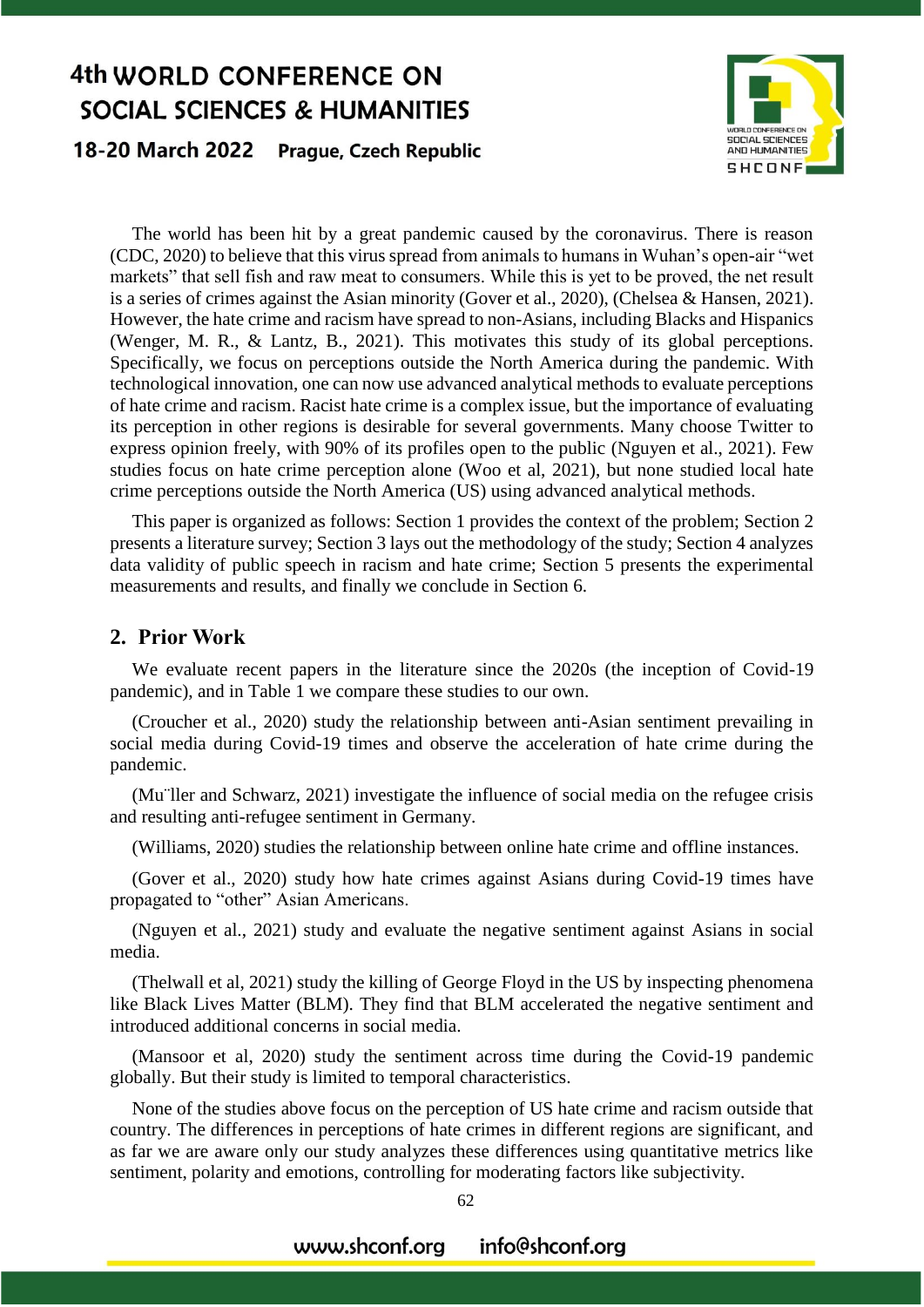18-20 March 2022 **Prague, Czech Republic** 



The world has been hit by a great pandemic caused by the coronavirus. There is reason (CDC, 2020) to believe that this virus spread from animals to humans in Wuhan's open-air "wet markets" that sell fish and raw meat to consumers. While this is yet to be proved, the net result is a series of crimes against the Asian minority (Gover et al., 2020), (Chelsea & Hansen, 2021). However, the hate crime and racism have spread to non-Asians, including Blacks and Hispanics (Wenger, M. R., & Lantz, B., 2021). This motivates this study of its global perceptions. Specifically, we focus on perceptions outside the North America during the pandemic. With technological innovation, one can now use advanced analytical methods to evaluate perceptions of hate crime and racism. Racist hate crime is a complex issue, but the importance of evaluating its perception in other regions is desirable for several governments. Many choose Twitter to express opinion freely, with 90% of its profiles open to the public (Nguyen et al., 2021). Few studies focus on hate crime perception alone (Woo et al, 2021), but none studied local hate crime perceptions outside the North America (US) using advanced analytical methods.

This paper is organized as follows: Section 1 provides the context of the problem; Section 2 presents a literature survey; Section 3 lays out the methodology of the study; Section 4 analyzes data validity of public speech in racism and hate crime; Section 5 presents the experimental measurements and results, and finally we conclude in Section 6.

### **2. Prior Work**

We evaluate recent papers in the literature since the 2020s (the inception of Covid-19 pandemic), and in Table 1 we compare these studies to our own.

(Croucher et al., 2020) study the relationship between anti-Asian sentiment prevailing in social media during Covid-19 times and observe the acceleration of hate crime during the pandemic.

(Mu¨ller and Schwarz, 2021) investigate the influence of social media on the refugee crisis and resulting anti-refugee sentiment in Germany.

(Williams, 2020) studies the relationship between online hate crime and offline instances.

(Gover et al., 2020) study how hate crimes against Asians during Covid-19 times have propagated to "other" Asian Americans.

(Nguyen et al., 2021) study and evaluate the negative sentiment against Asians in social media.

(Thelwall et al, 2021) study the killing of George Floyd in the US by inspecting phenomena like Black Lives Matter (BLM). They find that BLM accelerated the negative sentiment and introduced additional concerns in social media.

(Mansoor et al, 2020) study the sentiment across time during the Covid-19 pandemic globally. But their study is limited to temporal characteristics.

None of the studies above focus on the perception of US hate crime and racism outside that country. The differences in perceptions of hate crimes in different regions are significant, and as far we are aware only our study analyzes these differences using quantitative metrics like sentiment, polarity and emotions, controlling for moderating factors like subjectivity.

62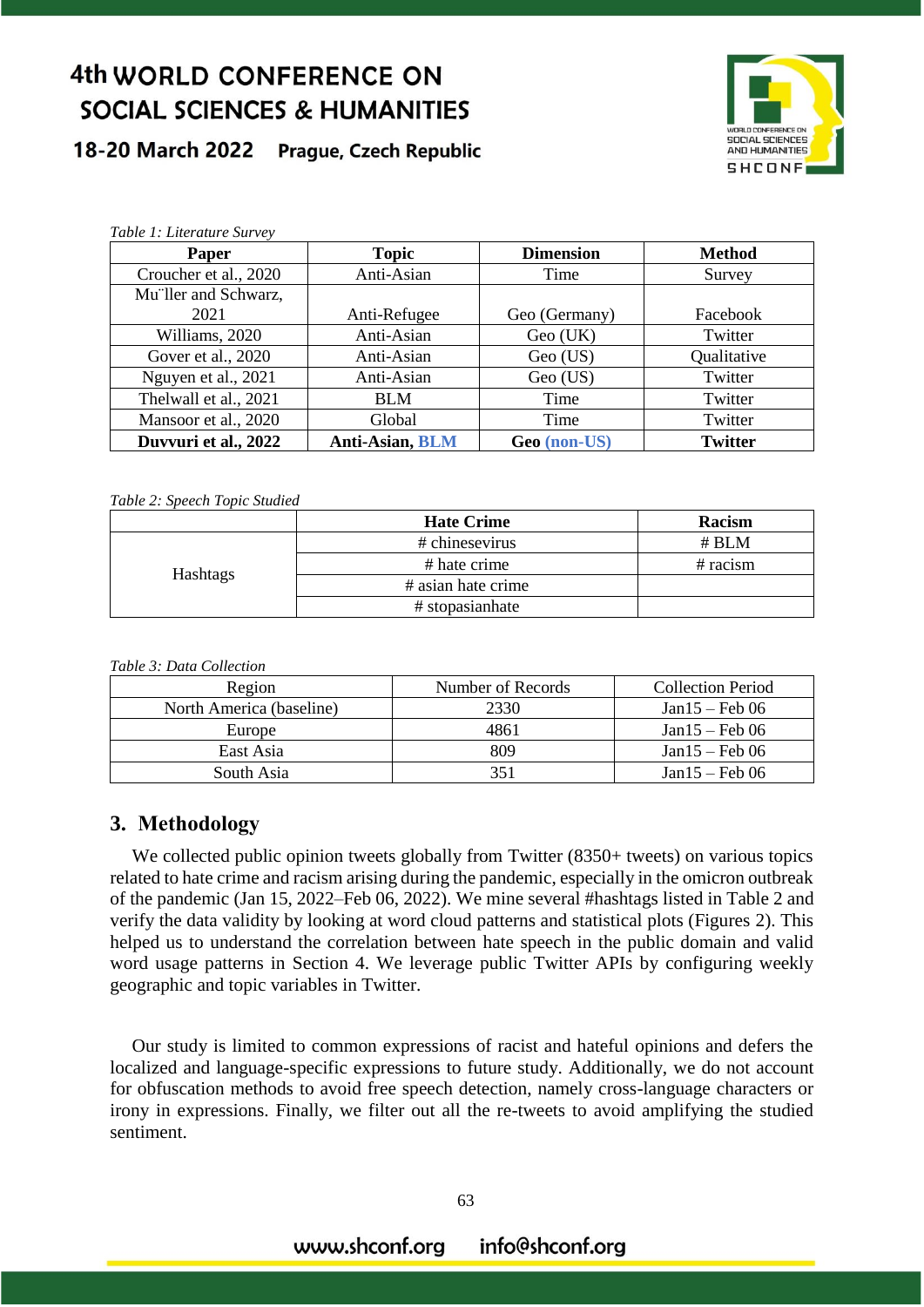#### 18-20 March 2022 **Prague, Czech Republic**



| Table 1: Literature Survey |                        |                  |                |  |  |
|----------------------------|------------------------|------------------|----------------|--|--|
| Paper                      | <b>Topic</b>           | <b>Dimension</b> | <b>Method</b>  |  |  |
| Croucher et al., 2020      | Anti-Asian<br>Time     |                  | Survey         |  |  |
| Mu"ller and Schwarz,       |                        |                  |                |  |  |
| 2021                       | Anti-Refugee           | Geo (Germany)    | Facebook       |  |  |
| Williams, 2020             | Anti-Asian             | Geo (UK)         | Twitter        |  |  |
| Gover et al., 2020         | Anti-Asian             | Geo (US)         | Qualitative    |  |  |
| Nguyen et al., 2021        | Anti-Asian<br>Geo (US) |                  | Twitter        |  |  |
| Thelwall et al., 2021      | <b>BLM</b>             | Time             | Twitter        |  |  |
| Mansoor et al., 2020       | Global                 | Time             | Twitter        |  |  |
| Duvvuri et al., 2022       | <b>Anti-Asian, BLM</b> | Geo (non-US)     | <b>Twitter</b> |  |  |

#### *Table 2: Speech Topic Studied*

|          | <b>Hate Crime</b>  | Racism     |
|----------|--------------------|------------|
| Hashtags | # chinesevirus     | # BLM      |
|          | # hate crime       | $#$ racism |
|          | # asian hate crime |            |
|          | # stopasianhate    |            |

| Region                   | Number of Records | <b>Collection Period</b> |  |
|--------------------------|-------------------|--------------------------|--|
| North America (baseline) | 2330              | $Jan15 - Feb 06$         |  |
| Europe                   | 4861              | $Jan15 - Feb 06$         |  |
| East Asia                | 809               | $Jan15 - Feb 06$         |  |
| South Asia               | 351               | $Jan15 - Feb 06$         |  |

### **3. Methodology**

We collected public opinion tweets globally from Twitter (8350+ tweets) on various topics related to hate crime and racism arising during the pandemic, especially in the omicron outbreak of the pandemic (Jan 15, 2022–Feb 06, 2022). We mine several #hashtags listed in Table 2 and verify the data validity by looking at word cloud patterns and statistical plots (Figures 2). This helped us to understand the correlation between hate speech in the public domain and valid word usage patterns in Section 4. We leverage public Twitter APIs by configuring weekly geographic and topic variables in Twitter.

Our study is limited to common expressions of racist and hateful opinions and defers the localized and language-specific expressions to future study. Additionally, we do not account for obfuscation methods to avoid free speech detection, namely cross-language characters or irony in expressions. Finally, we filter out all the re-tweets to avoid amplifying the studied sentiment.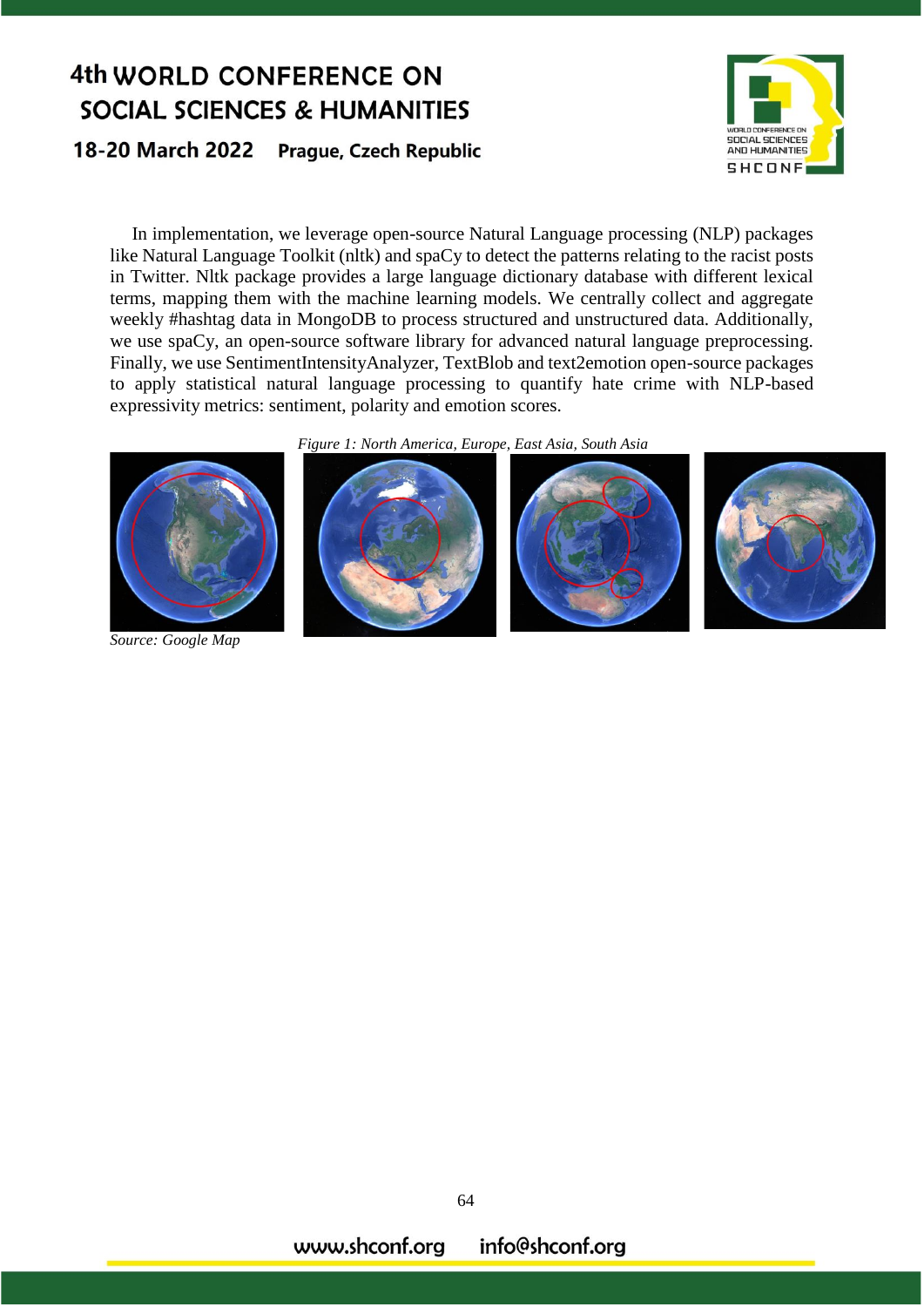18-20 March 2022 **Prague, Czech Republic** 



In implementation, we leverage open-source Natural Language processing (NLP) packages like Natural Language Toolkit (nltk) and spaCy to detect the patterns relating to the racist posts in Twitter. Nltk package provides a large language dictionary database with different lexical terms, mapping them with the machine learning models. We centrally collect and aggregate weekly #hashtag data in MongoDB to process structured and unstructured data. Additionally, we use spaCy, an open-source software library for advanced natural language preprocessing. Finally, we use SentimentIntensityAnalyzer, TextBlob and text2emotion open-source packages to apply statistical natural language processing to quantify hate crime with NLP-based expressivity metrics: sentiment, polarity and emotion scores.





*Source: Google Map*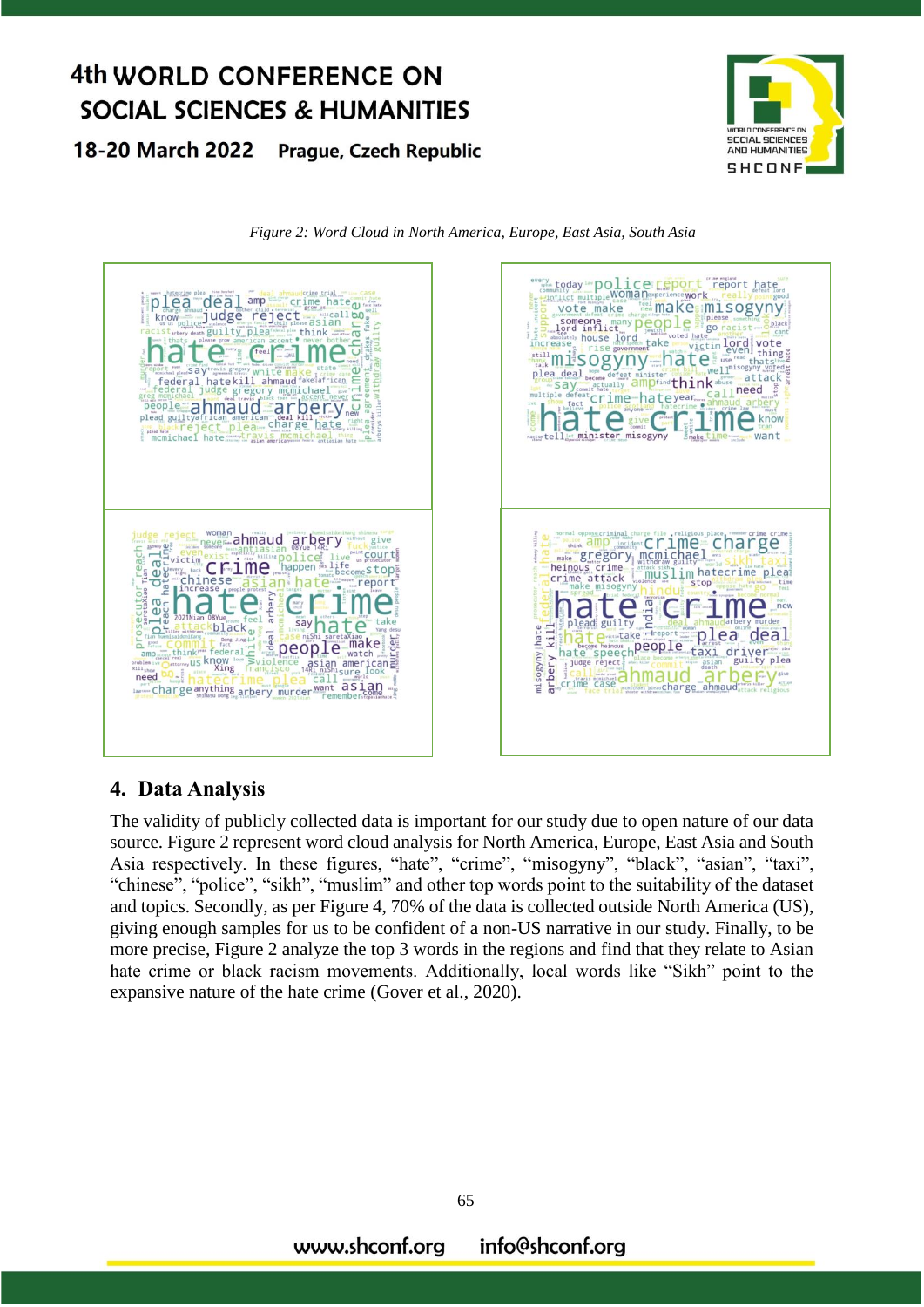18-20 March 2022 **Prague, Czech Republic** 







## **4. Data Analysis**

The validity of publicly collected data is important for our study due to open nature of our data source. Figure 2 represent word cloud analysis for North America, Europe, East Asia and South Asia respectively. In these figures, "hate", "crime", "misogyny", "black", "asian", "taxi", "chinese", "police", "sikh", "muslim" and other top words point to the suitability of the dataset and topics. Secondly, as per Figure 4, 70% of the data is collected outside North America (US), giving enough samples for us to be confident of a non-US narrative in our study. Finally, to be more precise, Figure 2 analyze the top 3 words in the regions and find that they relate to Asian hate crime or black racism movements. Additionally, local words like "Sikh" point to the expansive nature of the hate crime (Gover et al., 2020).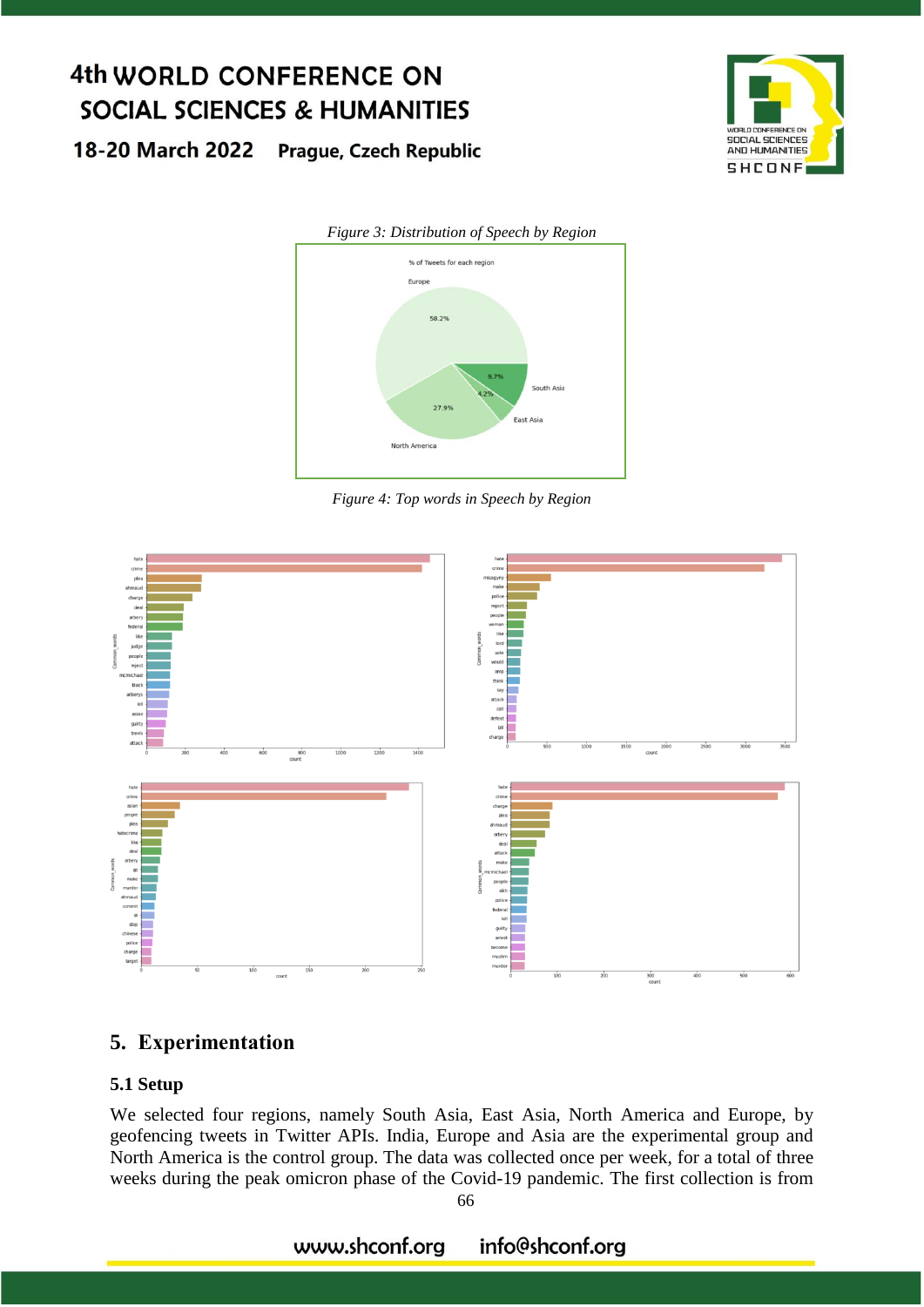18-20 March 2022 **Prague, Czech Republic** 





*Figure 4: Top words in Speech by Region*



## **5. Experimentation**

### **5.1 Setup**

We selected four regions, namely South Asia, East Asia, North America and Europe, by geofencing tweets in Twitter APIs. India, Europe and Asia are the experimental group and North America is the control group. The data was collected once per week, for a total of three weeks during the peak omicron phase of the Covid-19 pandemic. The first collection is from

#### www.shconf.org info@shconf.org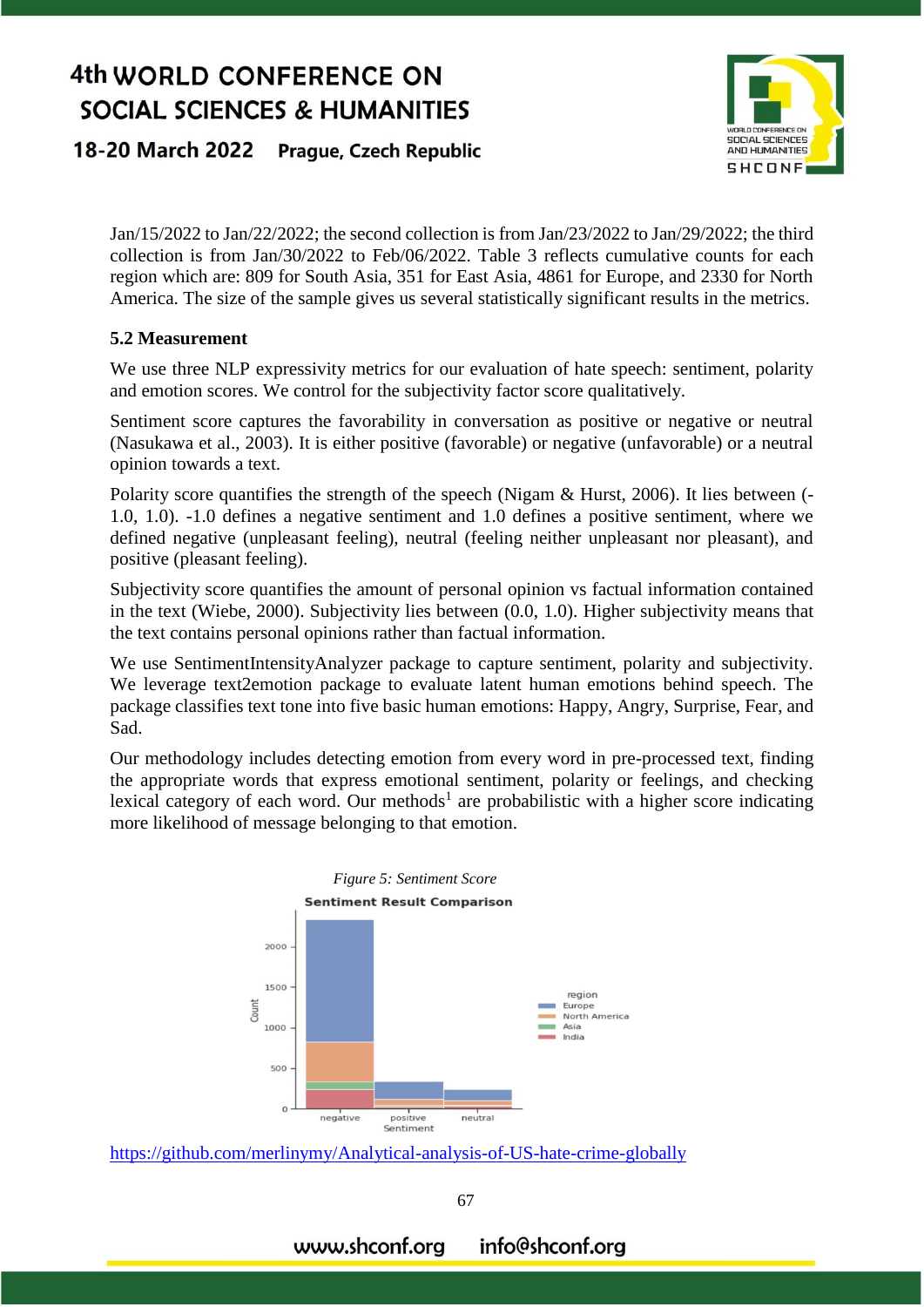#### 18-20 March 2022 **Prague, Czech Republic**



Jan/15/2022 to Jan/22/2022; the second collection is from Jan/23/2022 to Jan/29/2022; the third collection is from Jan/30/2022 to Feb/06/2022. Table 3 reflects cumulative counts for each region which are: 809 for South Asia, 351 for East Asia, 4861 for Europe, and 2330 for North America. The size of the sample gives us several statistically significant results in the metrics.

#### **5.2 Measurement**

We use three NLP expressivity metrics for our evaluation of hate speech: sentiment, polarity and emotion scores. We control for the subjectivity factor score qualitatively.

Sentiment score captures the favorability in conversation as positive or negative or neutral (Nasukawa et al., 2003). It is either positive (favorable) or negative (unfavorable) or a neutral opinion towards a text.

Polarity score quantifies the strength of the speech (Nigam & Hurst, 2006). It lies between (- 1.0, 1.0). -1.0 defines a negative sentiment and 1.0 defines a positive sentiment, where we defined negative (unpleasant feeling), neutral (feeling neither unpleasant nor pleasant), and positive (pleasant feeling).

Subjectivity score quantifies the amount of personal opinion vs factual information contained in the text (Wiebe, 2000). Subjectivity lies between (0.0, 1.0). Higher subjectivity means that the text contains personal opinions rather than factual information.

We use SentimentIntensityAnalyzer package to capture sentiment, polarity and subjectivity. We leverage text2emotion package to evaluate latent human emotions behind speech. The package classifies text tone into five basic human emotions: Happy, Angry, Surprise, Fear, and Sad.

Our methodology includes detecting emotion from every word in pre-processed text, finding the appropriate words that express emotional sentiment, polarity or feelings, and checking lexical category of each word. Our methods<sup>1</sup> are probabilistic with a higher score indicating more likelihood of message belonging to that emotion.



<https://github.com/merlinymy/Analytical-analysis-of-US-hate-crime-globally>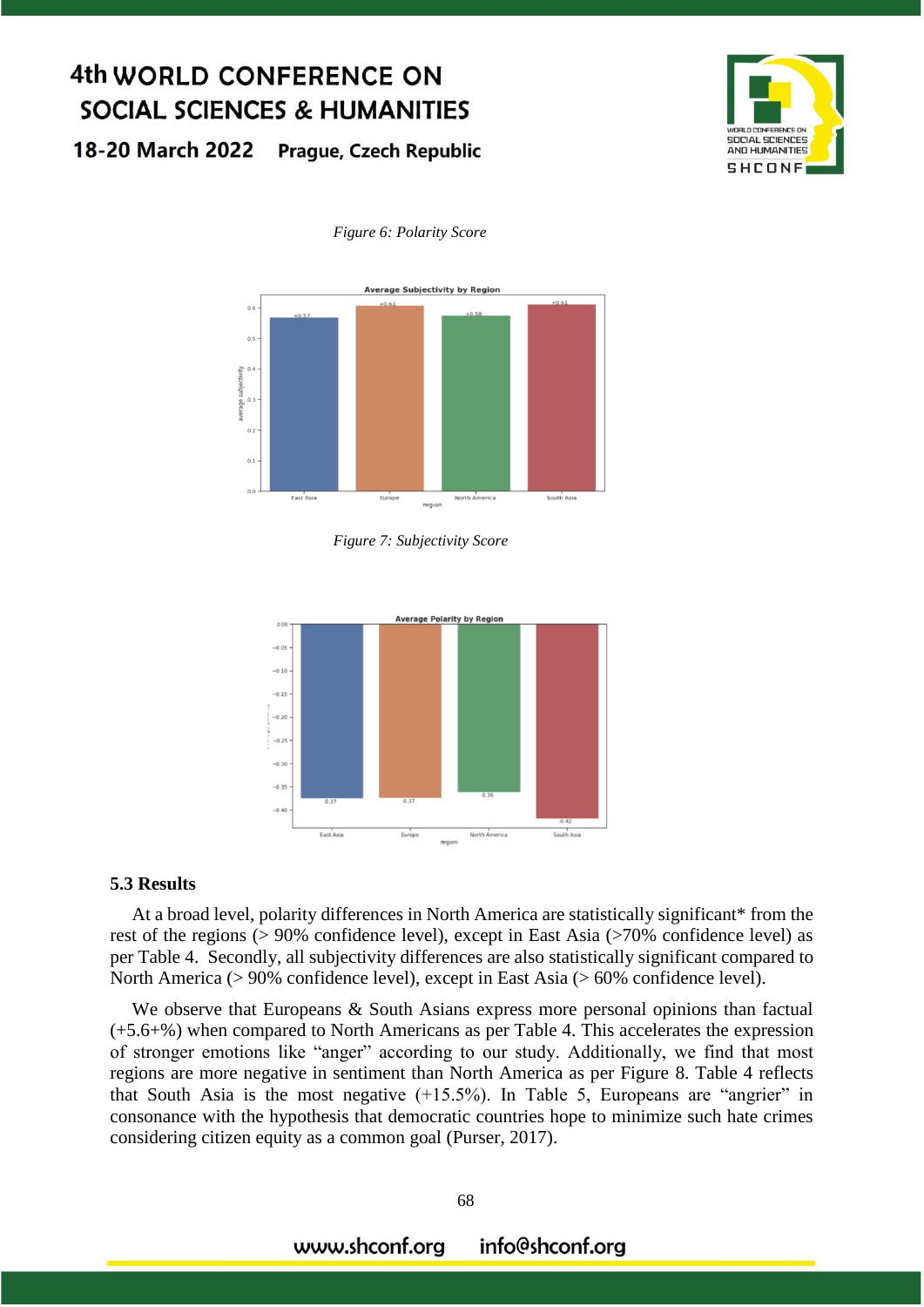18-20 March 2022 **Prague, Czech Republic** 



#### *Figure 6: Polarity Score*



*Figure 7: Subjectivity Score*



#### **5.3 Results**

At a broad level, polarity differences in North America are statistically significant\* from the rest of the regions (> 90% confidence level), except in East Asia (>70% confidence level) as per Table 4. Secondly, all subjectivity differences are also statistically significant compared to North America (> 90% confidence level), except in East Asia (> 60% confidence level).

We observe that Europeans & South Asians express more personal opinions than factual (+5.6+%) when compared to North Americans as per Table 4. This accelerates the expression of stronger emotions like "anger" according to our study. Additionally, we find that most regions are more negative in sentiment than North America as per Figure 8. Table 4 reflects that South Asia is the most negative (+15.5%). In Table 5, Europeans are "angrier" in consonance with the hypothesis that democratic countries hope to minimize such hate crimes considering citizen equity as a common goal (Purser, 2017).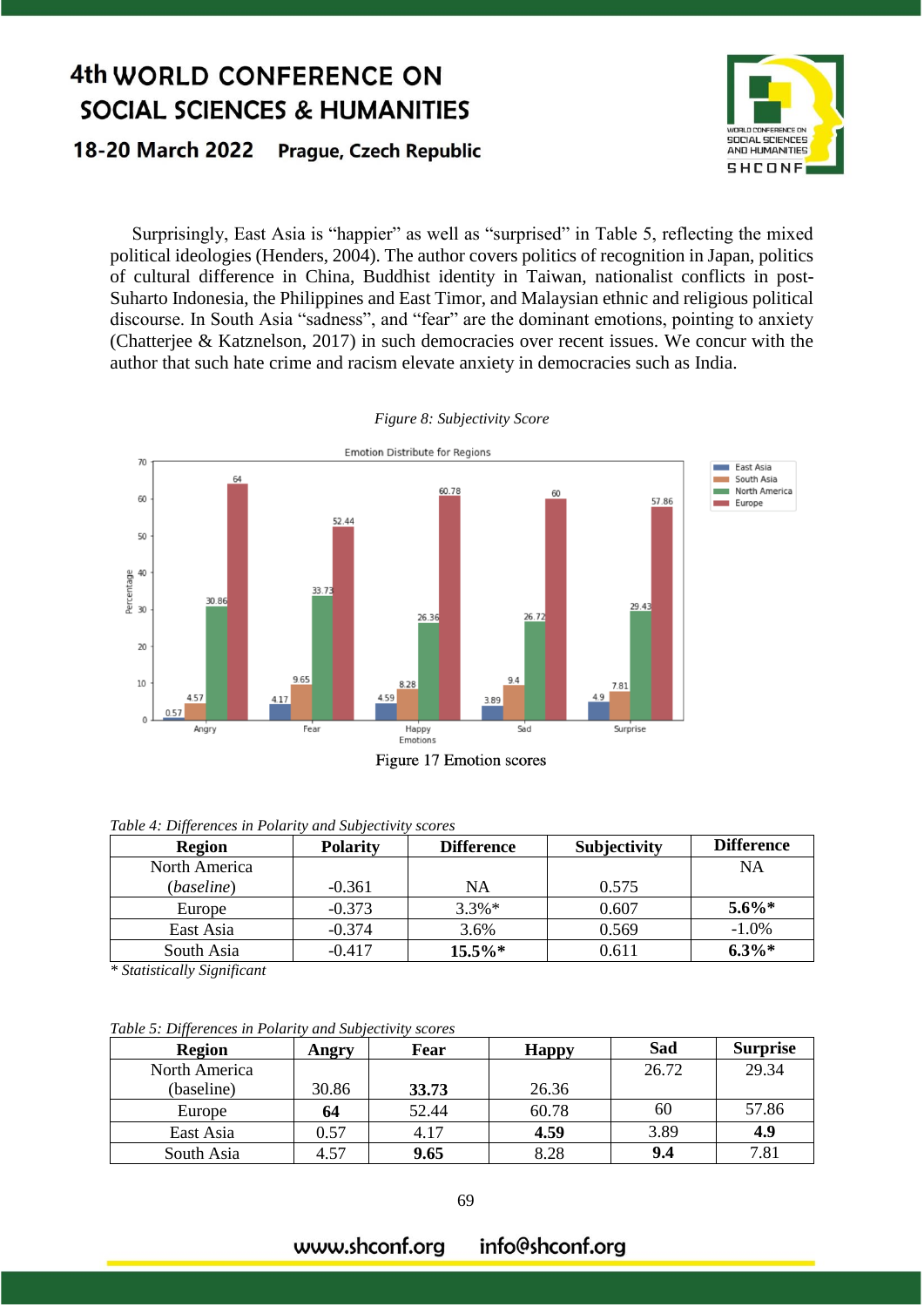#### 18-20 March 2022 **Prague, Czech Republic**



Surprisingly, East Asia is "happier" as well as "surprised" in Table 5, reflecting the mixed political ideologies (Henders, 2004). The author covers politics of recognition in Japan, politics of cultural difference in China, Buddhist identity in Taiwan, nationalist conflicts in post-Suharto Indonesia, the Philippines and East Timor, and Malaysian ethnic and religious political discourse. In South Asia "sadness", and "fear" are the dominant emotions, pointing to anxiety (Chatterjee & Katznelson, 2017) in such democracies over recent issues. We concur with the author that such hate crime and racism elevate anxiety in democracies such as India.



*Figure 8: Subjectivity Score*

|  | Table 4: Differences in Polarity and Subjectivity scores |
|--|----------------------------------------------------------|

| $JJ$ $\sim$<br><b>Region</b> | <b>Polarity</b> | <b>Difference</b> | <b>Subjectivity</b> | <b>Difference</b> |
|------------------------------|-----------------|-------------------|---------------------|-------------------|
| North America                |                 |                   |                     | <b>NA</b>         |
| (baseline)                   | $-0.361$        | NA                | 0.575               |                   |
| Europe                       | $-0.373$        | $3.3\%*$          | 0.607               | $5.6\%*$          |
| East Asia                    | $-0.374$        | 3.6%              | 0.569               | $-1.0%$           |
| South Asia                   | $-0.417$        | $15.5\%*$         | 0.611               | $6.3\%*$          |

*\* Statistically Significant*

*Table 5: Differences in Polarity and Subjectivity scores*

| .<br>Region   | Angry | Fear  | <b>Happy</b> | Sad   | <b>Surprise</b> |
|---------------|-------|-------|--------------|-------|-----------------|
| North America |       |       |              | 26.72 | 29.34           |
| (baseline)    | 30.86 | 33.73 | 26.36        |       |                 |
| Europe        | 64    | 52.44 | 60.78        | 60    | 57.86           |
| East Asia     | 0.57  | 4.17  | 4.59         | 3.89  | 4.9             |
| South Asia    | 4.57  | 9.65  | 8.28         | 9.4   | 7.81            |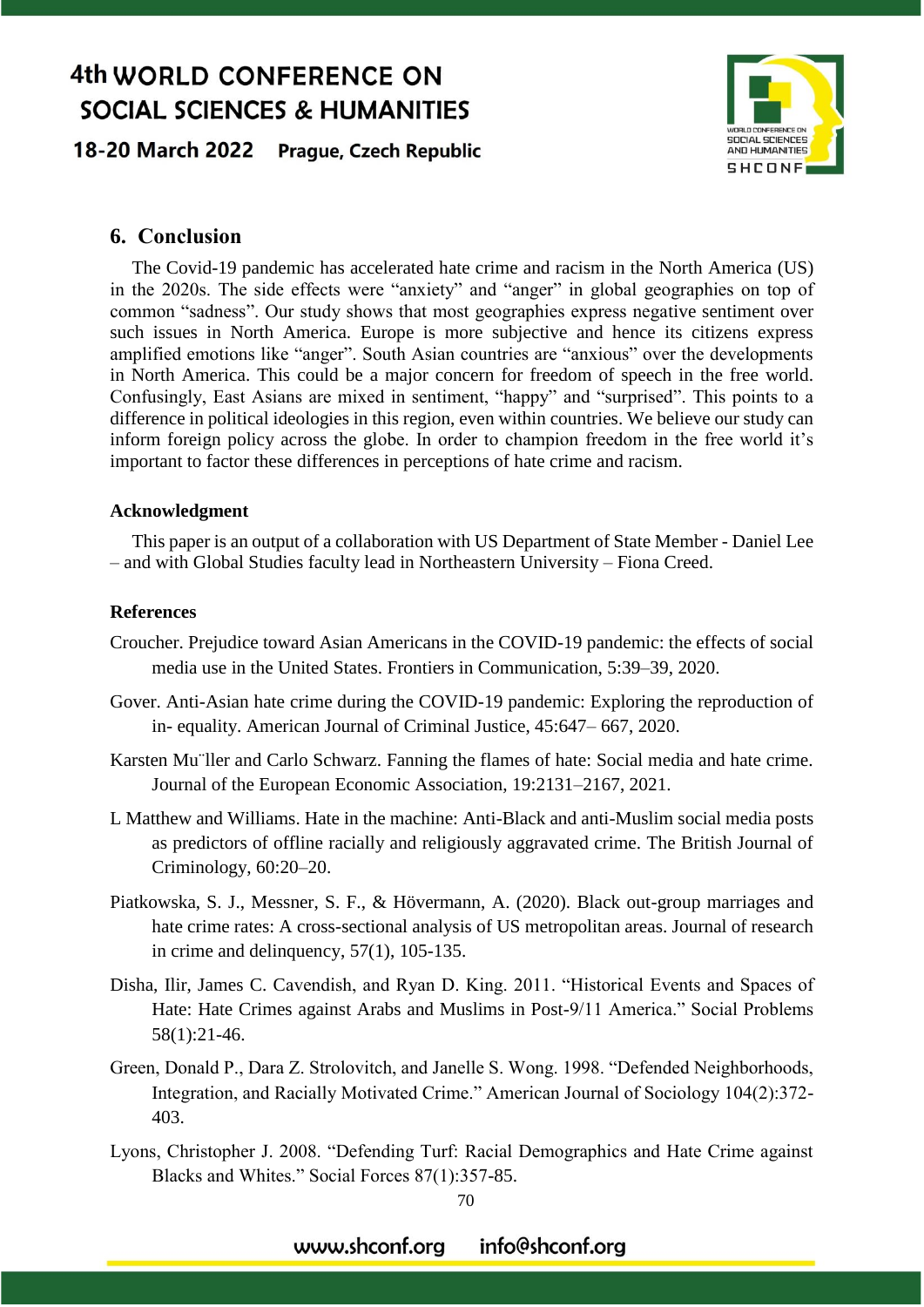18-20 March 2022 Prague, Czech Republic



#### **6. Conclusion**

The Covid-19 pandemic has accelerated hate crime and racism in the North America (US) in the 2020s. The side effects were "anxiety" and "anger" in global geographies on top of common "sadness". Our study shows that most geographies express negative sentiment over such issues in North America. Europe is more subjective and hence its citizens express amplified emotions like "anger". South Asian countries are "anxious" over the developments in North America. This could be a major concern for freedom of speech in the free world. Confusingly, East Asians are mixed in sentiment, "happy" and "surprised". This points to a difference in political ideologies in this region, even within countries. We believe our study can inform foreign policy across the globe. In order to champion freedom in the free world it's important to factor these differences in perceptions of hate crime and racism.

#### **Acknowledgment**

This paper is an output of a collaboration with US Department of State Member - Daniel Lee – and with Global Studies faculty lead in Northeastern University – Fiona Creed.

#### **References**

- Croucher. Prejudice toward Asian Americans in the COVID-19 pandemic: the effects of social media use in the United States. Frontiers in Communication, 5:39–39, 2020.
- Gover. Anti-Asian hate crime during the COVID-19 pandemic: Exploring the reproduction of in- equality. American Journal of Criminal Justice, 45:647– 667, 2020.
- Karsten Mu¨ller and Carlo Schwarz. Fanning the flames of hate: Social media and hate crime. Journal of the European Economic Association, 19:2131–2167, 2021.
- L Matthew and Williams. Hate in the machine: Anti-Black and anti-Muslim social media posts as predictors of offline racially and religiously aggravated crime. The British Journal of Criminology, 60:20–20.
- Piatkowska, S. J., Messner, S. F., & Hövermann, A. (2020). Black out-group marriages and hate crime rates: A cross-sectional analysis of US metropolitan areas. Journal of research in crime and delinquency, 57(1), 105-135.
- Disha, Ilir, James C. Cavendish, and Ryan D. King. 2011. "Historical Events and Spaces of Hate: Hate Crimes against Arabs and Muslims in Post-9/11 America." Social Problems 58(1):21-46.
- Green, Donald P., Dara Z. Strolovitch, and Janelle S. Wong. 1998. "Defended Neighborhoods, Integration, and Racially Motivated Crime." American Journal of Sociology 104(2):372- 403.
- Lyons, Christopher J. 2008. "Defending Turf: Racial Demographics and Hate Crime against Blacks and Whites." Social Forces 87(1):357-85.

70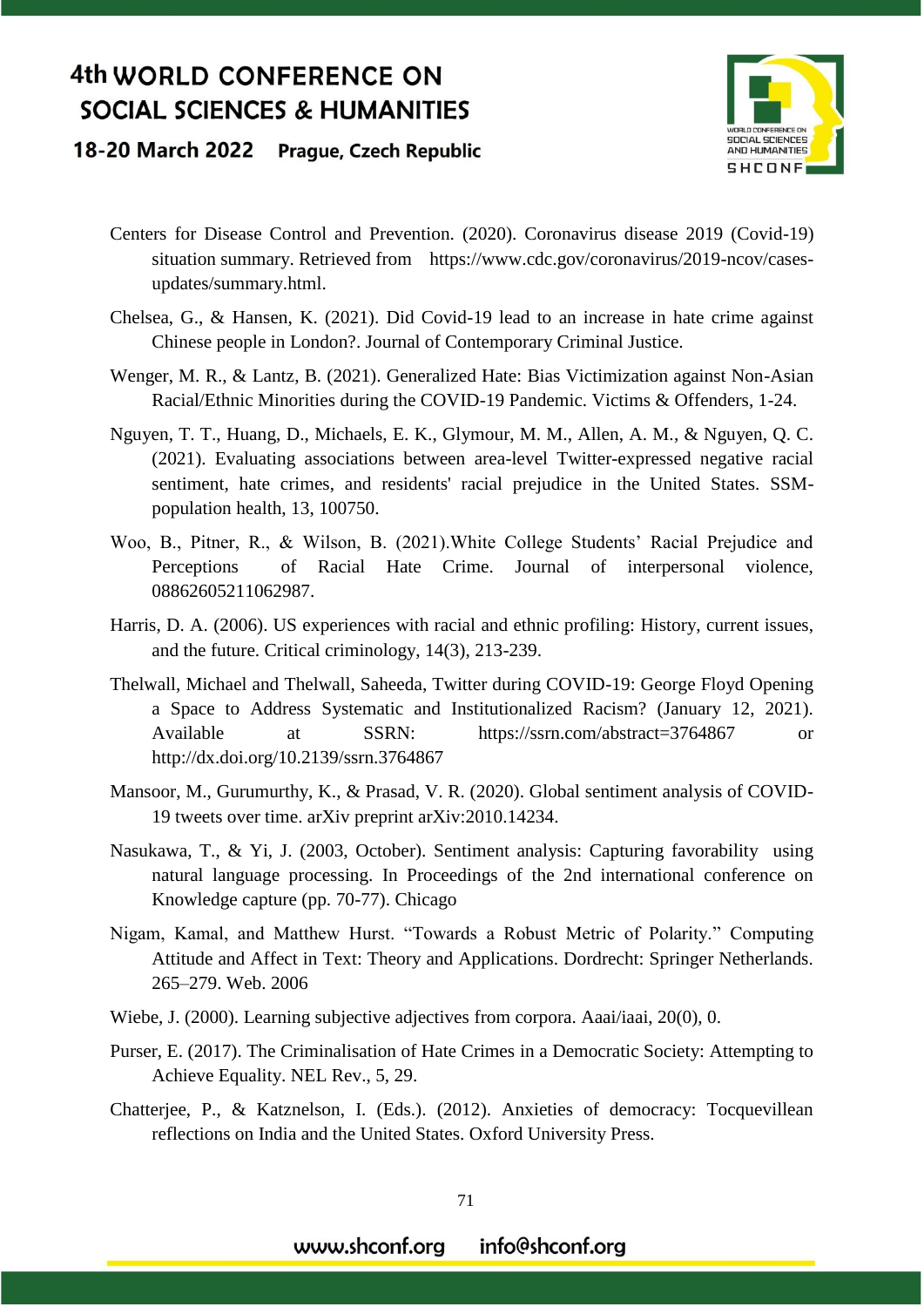

#### 18-20 March 2022 **Prague, Czech Republic**

- Centers for Disease Control and Prevention. (2020). Coronavirus disease 2019 (Covid-19) situation summary. Retrieved from https://www.cdc.gov/coronavirus/2019-ncov/casesupdates/summary.html.
- Chelsea, G., & Hansen, K. (2021). Did Covid-19 lead to an increase in hate crime against Chinese people in London?. Journal of Contemporary Criminal Justice.
- Wenger, M. R., & Lantz, B. (2021). Generalized Hate: Bias Victimization against Non-Asian Racial/Ethnic Minorities during the COVID-19 Pandemic. Victims & Offenders, 1-24.
- Nguyen, T. T., Huang, D., Michaels, E. K., Glymour, M. M., Allen, A. M., & Nguyen, Q. C. (2021). Evaluating associations between area-level Twitter-expressed negative racial sentiment, hate crimes, and residents' racial prejudice in the United States. SSMpopulation health, 13, 100750.
- Woo, B., Pitner, R., & Wilson, B. (2021).White College Students' Racial Prejudice and Perceptions of Racial Hate Crime. Journal of interpersonal violence, 08862605211062987.
- Harris, D. A. (2006). US experiences with racial and ethnic profiling: History, current issues, and the future. Critical criminology, 14(3), 213-239.
- Thelwall, Michael and Thelwall, Saheeda, Twitter during COVID-19: George Floyd Opening a Space to Address Systematic and Institutionalized Racism? (January 12, 2021). Available at SSRN: https://ssrn.com/abstract=3764867 or http://dx.doi.org/10.2139/ssrn.3764867
- Mansoor, M., Gurumurthy, K., & Prasad, V. R. (2020). Global sentiment analysis of COVID-19 tweets over time. arXiv preprint arXiv:2010.14234.
- Nasukawa, T., & Yi, J. (2003, October). Sentiment analysis: Capturing favorability using natural language processing. In Proceedings of the 2nd international conference on Knowledge capture (pp. 70-77). Chicago
- Nigam, Kamal, and Matthew Hurst. "Towards a Robust Metric of Polarity." Computing Attitude and Affect in Text: Theory and Applications. Dordrecht: Springer Netherlands. 265–279. Web. 2006
- Wiebe, J. (2000). Learning subjective adjectives from corpora. Aaai/iaai, 20(0), 0.
- Purser, E. (2017). The Criminalisation of Hate Crimes in a Democratic Society: Attempting to Achieve Equality. NEL Rev., 5, 29.
- Chatterjee, P., & Katznelson, I. (Eds.). (2012). Anxieties of democracy: Tocquevillean reflections on India and the United States. Oxford University Press.